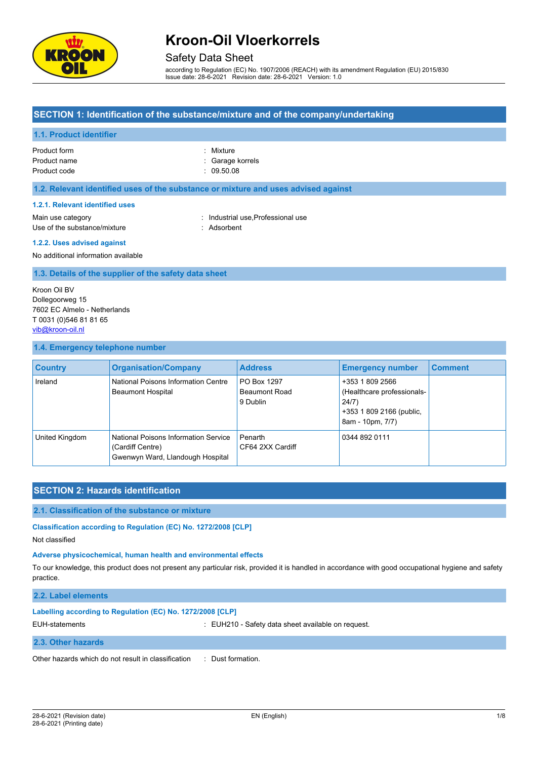

### Safety Data Sheet

according to Regulation (EC) No. 1907/2006 (REACH) with its amendment Regulation (EU) 2015/830 Issue date: 28-6-2021 Revision date: 28-6-2021 Version: 1.0

### **SECTION 1: Identification of the substance/mixture and of the company/undertaking**

#### **1.1. Product identifier**

| Product form |  |
|--------------|--|
| Product name |  |
| Product code |  |

: Garage korrels  $p: 09.50.08$ 

: Mixture

#### **1.2. Relevant identified uses of the substance or mixture and uses advised against**

#### **1.2.1. Relevant identified uses**

Main use category **industrial use**, Professional use Use of the substance/mixture in the substance/mixture in the substance of the substance of the substance of the substance/mixture in the substance of the substance of the substance of the substance of the substance/mixture

#### **1.2.2. Uses advised against**

No additional information available

#### **1.3. Details of the supplier of the safety data sheet**

Kroon Oil BV Dollegoorweg 15 7602 EC Almelo - Netherlands T 0031 (0)546 81 81 65 [vib@kroon-oil.nl](mailto:vib@kroon-oil.nl)

#### **1.4. Emergency telephone number**

| <b>Country</b> | <b>Organisation/Company</b>                                                                  | <b>Address</b>                                  | <b>Emergency number</b>                                                                                | <b>Comment</b> |
|----------------|----------------------------------------------------------------------------------------------|-------------------------------------------------|--------------------------------------------------------------------------------------------------------|----------------|
| Ireland        | National Poisons Information Centre<br><b>Beaumont Hospital</b>                              | PO Box 1297<br><b>Beaumont Road</b><br>9 Dublin | +353 1 809 2566<br>(Healthcare professionals-<br>24/7)<br>+353 1 809 2166 (public,<br>8am - 10pm, 7/7) |                |
| United Kingdom | National Poisons Information Service<br>(Cardiff Centre)<br>Gwenwyn Ward, Llandough Hospital | Penarth<br>CF64 2XX Cardiff                     | 0344 892 0111                                                                                          |                |

## **SECTION 2: Hazards identification**

#### **2.1. Classification of the substance or mixture**

**Classification according to Regulation (EC) No. 1272/2008 [CLP]**

Not classified

#### **Adverse physicochemical, human health and environmental effects**

To our knowledge, this product does not present any particular risk, provided it is handled in accordance with good occupational hygiene and safety practice.

#### **2.2. Label elements**

# **Labelling according to Regulation (EC) No. 1272/2008 [CLP]**

EUH-statements **in the statements** of the statements of the statements of the statements of the statements of the statement of the statement of the statement of the statement of the statement of the statement of the statem

#### **2.3. Other hazards**

Other hazards which do not result in classification : Dust formation.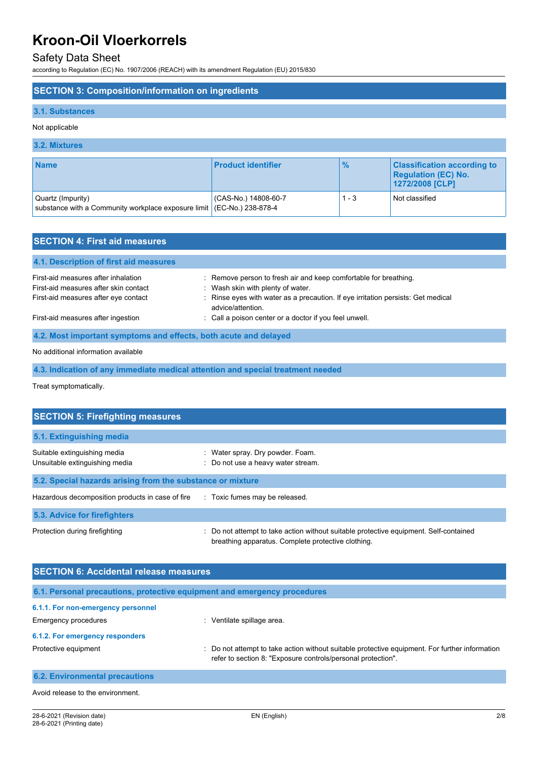### Safety Data Sheet

according to Regulation (EC) No. 1907/2006 (REACH) with its amendment Regulation (EU) 2015/830

#### **SECTION 3: Composition/information on ingredients**

#### **3.1. Substances**

#### Not applicable

#### **3.2. Mixtures Name Product identifier 1999 2009 Classification according to <b>Product identifier 1999 2009 Classification according to Regulation (EC) No. 1272/2008 [CLP]** Quartz (Impurity) substance with a Community workplace exposure limit (CAS-No.) 14808-60-7 (EC-No.) 238-878-4 1 - 3 Not classified

| <b>SECTION 4: First aid measures</b>                             |                                                                                                       |
|------------------------------------------------------------------|-------------------------------------------------------------------------------------------------------|
| 4.1. Description of first aid measures                           |                                                                                                       |
| First-aid measures after inhalation                              | : Remove person to fresh air and keep comfortable for breathing.                                      |
| First-aid measures after skin contact                            | : Wash skin with plenty of water.                                                                     |
| First-aid measures after eye contact                             | : Rinse eyes with water as a precaution. If eye irritation persists: Get medical<br>advice/attention. |
| First-aid measures after ingestion                               | : Call a poison center or a doctor if you feel unwell.                                                |
| 4.2. Most important symptoms and effects, both acute and delayed |                                                                                                       |
|                                                                  |                                                                                                       |

### No additional information available

**4.3. Indication of any immediate medical attention and special treatment needed**

Treat symptomatically.

| <b>SECTION 5: Firefighting measures</b>                        |                                                                                                                                             |  |  |  |
|----------------------------------------------------------------|---------------------------------------------------------------------------------------------------------------------------------------------|--|--|--|
| 5.1. Extinguishing media                                       |                                                                                                                                             |  |  |  |
| Suitable extinguishing media<br>Unsuitable extinguishing media | : Water spray. Dry powder. Foam.<br>: Do not use a heavy water stream.                                                                      |  |  |  |
| 5.2. Special hazards arising from the substance or mixture     |                                                                                                                                             |  |  |  |
| Hazardous decomposition products in case of fire               | : Toxic fumes may be released.                                                                                                              |  |  |  |
| 5.3. Advice for firefighters                                   |                                                                                                                                             |  |  |  |
| Protection during firefighting                                 | : Do not attempt to take action without suitable protective equipment. Self-contained<br>breathing apparatus. Complete protective clothing. |  |  |  |

| <b>SECTION 6: Accidental release measures</b>                            |                                                                                                                                                                |  |  |
|--------------------------------------------------------------------------|----------------------------------------------------------------------------------------------------------------------------------------------------------------|--|--|
| 6.1. Personal precautions, protective equipment and emergency procedures |                                                                                                                                                                |  |  |
| 6.1.1. For non-emergency personnel                                       |                                                                                                                                                                |  |  |
| Emergency procedures                                                     | Ventilate spillage area.<br>÷.                                                                                                                                 |  |  |
| 6.1.2. For emergency responders                                          |                                                                                                                                                                |  |  |
| Protective equipment                                                     | : Do not attempt to take action without suitable protective equipment. For further information<br>refer to section 8: "Exposure controls/personal protection". |  |  |
| <b>6.2. Environmental precautions</b>                                    |                                                                                                                                                                |  |  |

Avoid release to the environment.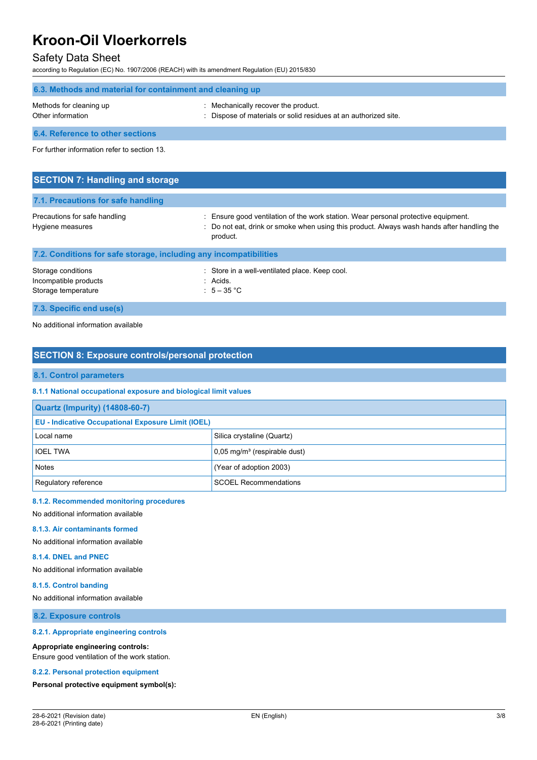### Safety Data Sheet

according to Regulation (EC) No. 1907/2006 (REACH) with its amendment Regulation (EU) 2015/830

| 6.3. Methods and material for containment and cleaning up |                                                                                                      |  |  |
|-----------------------------------------------------------|------------------------------------------------------------------------------------------------------|--|--|
| Methods for cleaning up<br>Other information              | Mechanically recover the product.<br>: Dispose of materials or solid residues at an authorized site. |  |  |
| 6.4. Reference to other sections                          |                                                                                                      |  |  |

For further information refer to section 13.

| <b>SECTION 7: Handling and storage</b>                            |                                                                                                                                                                                            |
|-------------------------------------------------------------------|--------------------------------------------------------------------------------------------------------------------------------------------------------------------------------------------|
| 7.1. Precautions for safe handling                                |                                                                                                                                                                                            |
| Precautions for safe handling<br>Hygiene measures                 | Ensure good ventilation of the work station. Wear personal protective equipment.<br>: Do not eat, drink or smoke when using this product. Always wash hands after handling the<br>product. |
| 7.2. Conditions for safe storage, including any incompatibilities |                                                                                                                                                                                            |
| Storage conditions                                                | : Store in a well-ventilated place. Keep cool.                                                                                                                                             |

**7.3. Specific end use(s)**

No additional information available

## **SECTION 8: Exposure controls/personal protection**

Incompatible products in the set of the set of the set of the set of the set of the set of the set of the set o Storage temperature  $\qquad \qquad : \quad 5-35 \text{ °C}$ 

#### **8.1. Control parameters**

#### **8.1.1 National occupational exposure and biological limit values**

| <b>Quartz (Impurity) (14808-60-7)</b>                     |                                            |  |
|-----------------------------------------------------------|--------------------------------------------|--|
| <b>EU - Indicative Occupational Exposure Limit (IOEL)</b> |                                            |  |
| Local name                                                | Silica crystaline (Quartz)                 |  |
| <b>IOEL TWA</b>                                           | $0.05$ mg/m <sup>3</sup> (respirable dust) |  |
| <b>Notes</b>                                              | (Year of adoption 2003)                    |  |
| Regulatory reference                                      | <b>SCOEL Recommendations</b>               |  |

#### **8.1.2. Recommended monitoring procedures**

No additional information available

#### **8.1.3. Air contaminants formed**

No additional information available

#### **8.1.4. DNEL and PNEC**

No additional information available

#### **8.1.5. Control banding**

No additional information available

**8.2. Exposure controls**

#### **8.2.1. Appropriate engineering controls**

#### **Appropriate engineering controls:**

Ensure good ventilation of the work station.

#### **8.2.2. Personal protection equipment**

**Personal protective equipment symbol(s):**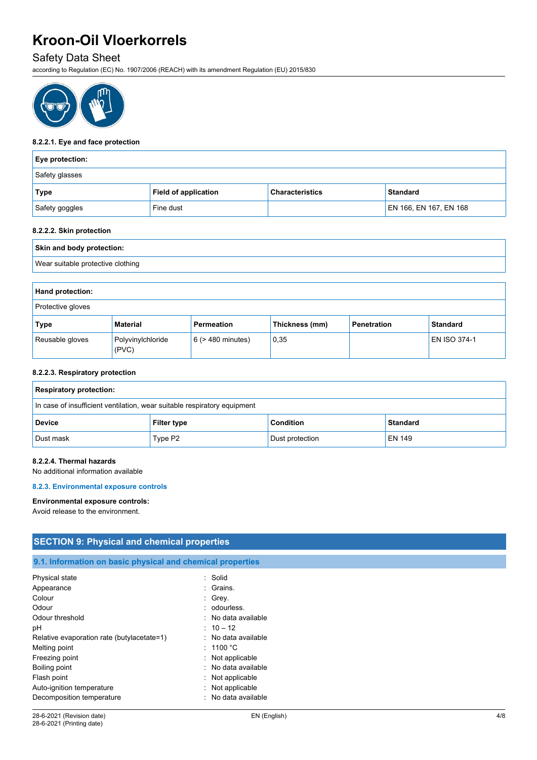## Safety Data Sheet

according to Regulation (EC) No. 1907/2006 (REACH) with its amendment Regulation (EU) 2015/830



#### **8.2.2.1. Eye and face protection**

| <b>Eye protection:</b> |                             |                        |                        |  |
|------------------------|-----------------------------|------------------------|------------------------|--|
| Safety glasses         |                             |                        |                        |  |
| <b>Type</b>            | <b>Field of application</b> | <b>Characteristics</b> | <b>Standard</b>        |  |
| Safety goggles         | Fine dust                   |                        | EN 166, EN 167, EN 168 |  |

#### **8.2.2.2. Skin protection**

| Skin and body protection:         |  |
|-----------------------------------|--|
| Wear suitable protective clothing |  |

| Hand protection:  |                            |                        |                |                    |                     |
|-------------------|----------------------------|------------------------|----------------|--------------------|---------------------|
| Protective gloves |                            |                        |                |                    |                     |
| Type              | Material                   | Permeation             | Thickness (mm) | <b>Penetration</b> | <b>Standard</b>     |
| Reusable gloves   | Polyvinylchloride<br>(PVC) | $6$ ( $>$ 480 minutes) | 0,35           |                    | <b>EN ISO 374-1</b> |

#### **8.2.2.3. Respiratory protection**

| <b>Respiratory protection:</b>                                           |                    |                  |                 |
|--------------------------------------------------------------------------|--------------------|------------------|-----------------|
| In case of insufficient ventilation, wear suitable respiratory equipment |                    |                  |                 |
| <b>Device</b>                                                            | <b>Filter type</b> | <b>Condition</b> | <b>Standard</b> |
| Dust mask                                                                | Type P2            | Dust protection  | EN 149          |

#### **8.2.2.4. Thermal hazards**

No additional information available

#### **8.2.3. Environmental exposure controls**

#### **Environmental exposure controls:**

Avoid release to the environment.

| <b>SECTION 9: Physical and chemical properties</b>         |                     |  |
|------------------------------------------------------------|---------------------|--|
|                                                            |                     |  |
| 9.1. Information on basic physical and chemical properties |                     |  |
| Physical state                                             | : Solid             |  |
| Appearance                                                 | : Grains.           |  |
| Colour                                                     | $\therefore$ Grey.  |  |
| Odour                                                      | : odourless.        |  |
| Odour threshold                                            | : No data available |  |
| рH                                                         | $: 10 - 12$         |  |
| Relative evaporation rate (butylacetate=1)                 | : No data available |  |
| Melting point                                              | : 1100 °C           |  |
| Freezing point                                             | : Not applicable    |  |
| Boiling point                                              | : No data available |  |
| Flash point                                                | : Not applicable    |  |
| Auto-ignition temperature                                  | : Not applicable    |  |
| Decomposition temperature                                  | : No data available |  |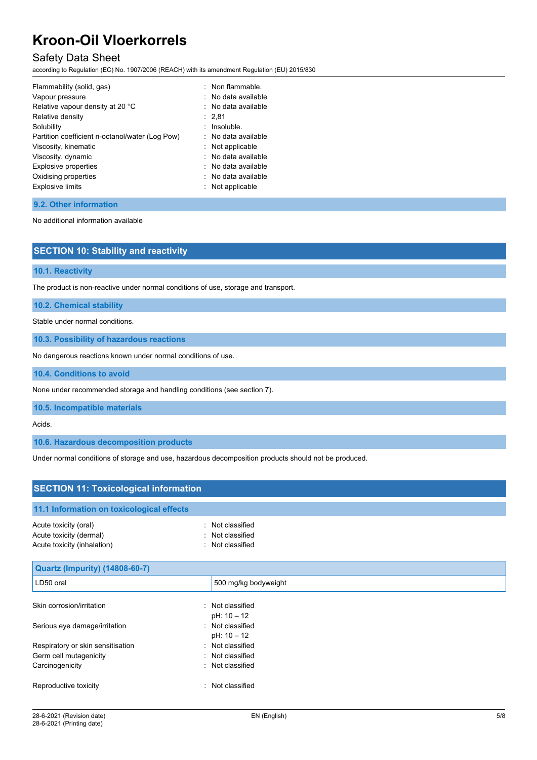## Safety Data Sheet

according to Regulation (EC) No. 1907/2006 (REACH) with its amendment Regulation (EU) 2015/830

| Flammability (solid, gas)                       | : Non flammable.    |
|-------------------------------------------------|---------------------|
| Vapour pressure                                 | : No data available |
| Relative vapour density at 20 °C                | : No data available |
| Relative density                                | : 2,81              |
| Solubility                                      | $:$ Insoluble.      |
| Partition coefficient n-octanol/water (Log Pow) | : No data available |
| Viscosity, kinematic                            | : Not applicable    |
| Viscosity, dynamic                              | : No data available |
| Explosive properties                            | : No data available |
| Oxidising properties                            | : No data available |
| <b>Explosive limits</b>                         | : Not applicable    |

**9.2. Other information**

No additional information available

| <b>SECTION 10: Stability and reactivity</b> |  |  |
|---------------------------------------------|--|--|
|                                             |  |  |
| 10.1. Reactivity                            |  |  |
|                                             |  |  |

The product is non-reactive under normal conditions of use, storage and transport.

**10.2. Chemical stability**

Stable under normal conditions.

**10.3. Possibility of hazardous reactions**

No dangerous reactions known under normal conditions of use.

**10.4. Conditions to avoid**

None under recommended storage and handling conditions (see section 7).

**10.5. Incompatible materials**

Acids.

**10.6. Hazardous decomposition products**

Under normal conditions of storage and use, hazardous decomposition products should not be produced.

| <b>SECTION 11: Toxicological information</b>                                    |                                                          |  |
|---------------------------------------------------------------------------------|----------------------------------------------------------|--|
| 11.1 Information on toxicological effects                                       |                                                          |  |
| Acute toxicity (oral)<br>Acute toxicity (dermal)<br>Acute toxicity (inhalation) | : Not classified<br>: Not classified<br>: Not classified |  |
| Quartz (Impurity) (14808-60-7)                                                  |                                                          |  |
| LD50 oral                                                                       | 500 mg/kg bodyweight                                     |  |
| Skin corrosion/irritation                                                       | : Not classified<br>pH: 10 - 12                          |  |
| Serious eye damage/irritation                                                   | : Not classified<br>pH: 10 - 12                          |  |
| Respiratory or skin sensitisation                                               | : Not classified                                         |  |
| Germ cell mutagenicity                                                          | : Not classified                                         |  |
| Carcinogenicity                                                                 | : Not classified                                         |  |
| Reproductive toxicity                                                           | : Not classified                                         |  |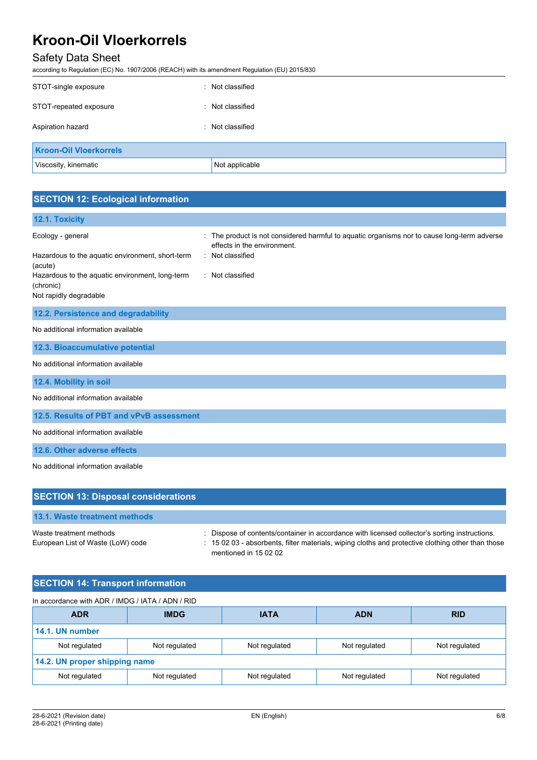# Safety Data Sheet

according to Regulation (EC) No. 1907/2006 (REACH) with its amendment Regulation (EU) 2015/830

| STOT-single exposure          | : Not classified |
|-------------------------------|------------------|
| STOT-repeated exposure        | : Not classified |
| Aspiration hazard             | : Not classified |
| <b>Kroon-Oil Vloerkorrels</b> |                  |
| Viscosity, kinematic          | Not applicable   |

## **SECTION 12: Ecological information**

| 12.1. Toxicity                                                                         |                                                                                                                                              |
|----------------------------------------------------------------------------------------|----------------------------------------------------------------------------------------------------------------------------------------------|
| Ecology - general<br>Hazardous to the aquatic environment, short-term<br>(acute)       | The product is not considered harmful to aquatic organisms nor to cause long-term adverse<br>effects in the environment.<br>: Not classified |
| Hazardous to the aquatic environment, long-term<br>(chronic)<br>Not rapidly degradable | : Not classified                                                                                                                             |
| 12.2. Persistence and degradability                                                    |                                                                                                                                              |
| No additional information available                                                    |                                                                                                                                              |
| 12.3. Bioaccumulative potential                                                        |                                                                                                                                              |
| No additional information available                                                    |                                                                                                                                              |
| 12.4. Mobility in soil                                                                 |                                                                                                                                              |
| No additional information available                                                    |                                                                                                                                              |
| 12.5. Results of PBT and vPvB assessment                                               |                                                                                                                                              |
| No additional information available                                                    |                                                                                                                                              |
| 12.6. Other adverse effects                                                            |                                                                                                                                              |
| No additional information available                                                    |                                                                                                                                              |

| <b>SECTION 13: Disposal considerations</b>                   |                                                                                                                                                                                                                             |
|--------------------------------------------------------------|-----------------------------------------------------------------------------------------------------------------------------------------------------------------------------------------------------------------------------|
| 13.1. Waste treatment methods                                |                                                                                                                                                                                                                             |
| Waste treatment methods<br>European List of Waste (LoW) code | : Dispose of contents/container in accordance with licensed collector's sorting instructions.<br>: 15 02 03 - absorbents, filter materials, wiping cloths and protective clothing other than those<br>mentioned in 15 02 02 |

# **SECTION 14: Transport information**

| In accordance with ADR / IMDG / IATA / ADN / RID |               |               |               |               |
|--------------------------------------------------|---------------|---------------|---------------|---------------|
| <b>ADR</b>                                       | <b>IMDG</b>   | <b>IATA</b>   | <b>ADN</b>    | <b>RID</b>    |
| 14.1. UN number                                  |               |               |               |               |
| Not regulated                                    | Not regulated | Not regulated | Not regulated | Not regulated |
| 14.2. UN proper shipping name                    |               |               |               |               |
| Not regulated                                    | Not regulated | Not regulated | Not regulated | Not regulated |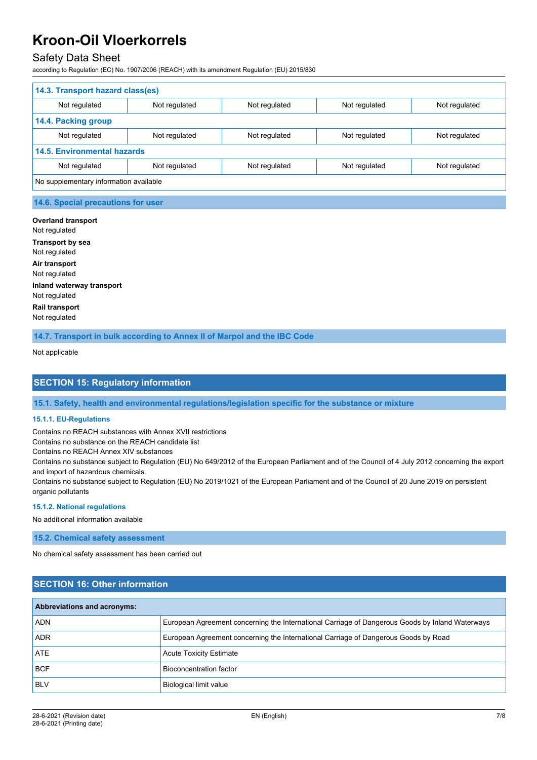## Safety Data Sheet

according to Regulation (EC) No. 1907/2006 (REACH) with its amendment Regulation (EU) 2015/830

| 14.3. Transport hazard class(es)       |               |               |               |               |
|----------------------------------------|---------------|---------------|---------------|---------------|
| Not regulated                          | Not regulated | Not regulated | Not regulated | Not regulated |
| 14.4. Packing group                    |               |               |               |               |
| Not regulated                          | Not regulated | Not regulated | Not regulated | Not regulated |
| <b>14.5. Environmental hazards</b>     |               |               |               |               |
| Not regulated                          | Not regulated | Not regulated | Not regulated | Not regulated |
| No supplementary information available |               |               |               |               |

#### **14.6. Special precautions for user**

**Overland transport** Not regulated **Transport by sea** Not regulated **Air transport** Not regulated **Inland waterway transport** Not regulated **Rail transport** Not regulated

**14.7. Transport in bulk according to Annex II of Marpol and the IBC Code**

Not applicable

### **SECTION 15: Regulatory information**

**15.1. Safety, health and environmental regulations/legislation specific for the substance or mixture**

#### **15.1.1. EU-Regulations**

Contains no REACH substances with Annex XVII restrictions

Contains no substance on the REACH candidate list

Contains no REACH Annex XIV substances

Contains no substance subject to Regulation (EU) No 649/2012 of the European Parliament and of the Council of 4 July 2012 concerning the export and import of hazardous chemicals.

Contains no substance subject to Regulation (EU) No 2019/1021 of the European Parliament and of the Council of 20 June 2019 on persistent organic pollutants

#### **15.1.2. National regulations**

No additional information available

**15.2. Chemical safety assessment**

No chemical safety assessment has been carried out

### **SECTION 16: Other information**

| <b>Abbreviations and acronyms:</b> |                                                                                                 |
|------------------------------------|-------------------------------------------------------------------------------------------------|
| <b>ADN</b>                         | European Agreement concerning the International Carriage of Dangerous Goods by Inland Waterways |
| <b>ADR</b>                         | European Agreement concerning the International Carriage of Dangerous Goods by Road             |
| ATE                                | <b>Acute Toxicity Estimate</b>                                                                  |
| <b>BCF</b>                         | Bioconcentration factor                                                                         |
| <b>BLV</b>                         | <b>Biological limit value</b>                                                                   |